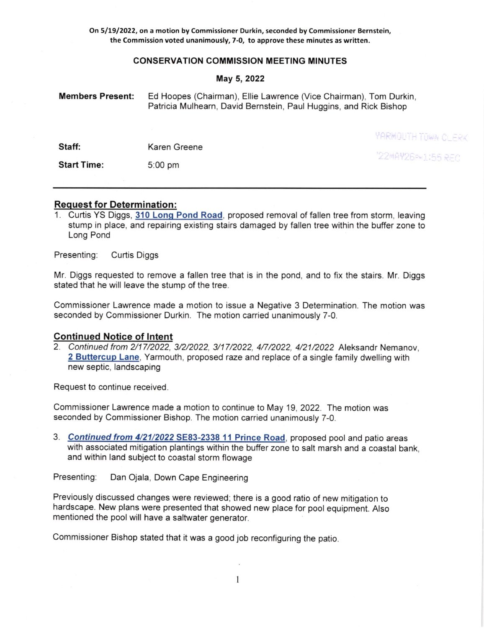On 5/1912022, on a motion by Commissioner Durkin, seconded by Commissioner Bernstein, the Commission voted unanimously, 7-0, to approve these minutes as written.

## CONSERVATION COMMISSION MEETING MINUTES

### May 5,2O22

| <b>Members Present:</b> | Ed Hoopes (Chairman), Ellie Lawrence (Vice Chairman), Tom Durkin,<br>Patricia Mulhearn, David Bernstein, Paul Huggins, and Rick Bishop |                           |
|-------------------------|----------------------------------------------------------------------------------------------------------------------------------------|---------------------------|
|                         |                                                                                                                                        | <b>YARMOLITH TOWN CLE</b> |
| Staff:                  | Karen Greene                                                                                                                           | "22*AY26P*1:55 RE         |
| <b>Start Time:</b>      | $5:00$ pm                                                                                                                              |                           |

 $-1/2$ 

# Request for Determination :

<sup>1</sup>. Curtis YS Diggs, 310 Lonq Pond Road, proposed removal of fallen tree from storm, leaving stump in place, and repairing existing stairs damaged by fallen tree within the buffer zone to Long Pond

Presenting: Curtis Diggs

Mr. Diggs requested to remove a fallen tree that is in the pond, and to fix the stairs. Mr. Diggs stated that he will leave the stump of the tree.

Commissioner Lawrence made a motion to issue a Negative 3 Determination. The motion was seconded by Commissioner Durkin. The motion carried unanimously 7-0.

# Continued Notice of lntent

2. Continued from 2/17/2022, 3/2/2022, 3/17/2022, 4/7/2022, 4/21/2022 Aleksandr Nemanov, 2 Buttercup Lane, Yarmouth, proposed raze and replace of a single family dwelling with new septic, landscaping

Request to continue received.

Commissioner Lawrence made a motion to continue to May 19, 2022. The motion was seconded by Commissioner Bishop. The motion carried unanimously 7-0.

3. Continued from 4/21/2022 SE83-2338 11 Prince Road, proposed pool and patio areas with associated mitigation plantings within the buffer zone to salt marsh and a coastal bank. and within land subject to coastal storm flowage

Presenting: Dan Ojala, Down Cape Engineering

Previously discussed changes were reviewed; there is a good ratio of new mitigation to hardscape. New plans were presented that showed new place for pool equipment. Also mentioned the pool will have a saltwater generator.

Commissioner Bishop stated that it was a good job reconfiguring the patio.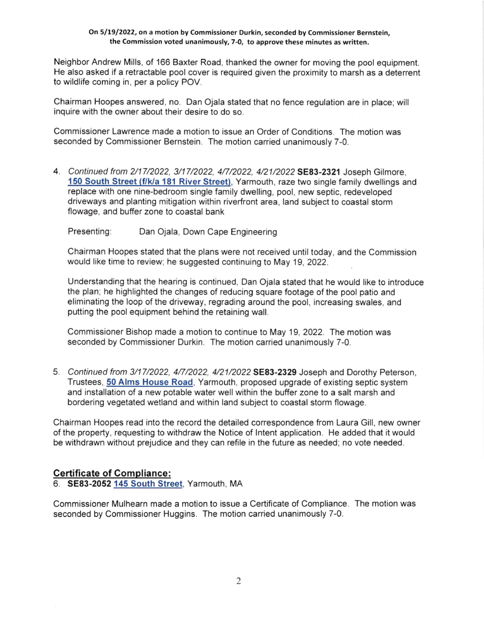### On 5/l912022, on a motion by Commissioner Durkin, seconded by Commissioner Bernstein, the Commission voted unanimously, 7-0, to approve these minutes as written.

Neighbor Andrew Mills, of 166 Baxter Road, thanked the owner for moving the pool equipment. He also asked if a retractable pool cover is required given the proximity to marsh as a deterrent to wildlife coming in, per a policy POV.

Chairman Hoopes answered, no. Dan Ojala stated that no fence regulation are in place; will inquire with the owner about their desire to do so.

Commissioner Lawrence made a motion to issue an Order of Conditions. The motion was seconded by Commissioner Bernstein. The motion carried unanimously 7-0.

4. Continued from 2/17/2022, 3/17/2022, 4/7/2022, 4/21/2022 SE83-2321 Joseph Gilmore, 150 South Street (f/k/a 181 River Street), Yarmouth, raze two single family dwellings and replace with one nine-bedroom single family dwelling, pool, new septic, redeveloped driveways and planting mitigation within riverfront area, land subject to coastal storm flowage, and buffer zone to coastal bank

Presenting: Dan Ojala, Down Cape Engineering

Chairman Hoopes stated that the plans were not received until today, and the Commission would like time to review; he suggested continuing to May 19, 2022.

Understanding that the hearing is continued, Dan Ojala stated that he would like to introduce the plan; he highlighted the changes of reducing square footage of the pool patio and eliminating the loop of the driveway, regrading around the pool, increasing swales, and putting the pool equipment behind the retaining wall.

Commissioner Bishop made a motion to continue to May 19, 2022. fhe motion was seconded by Commissioner Durkin. The motion carried unanimously 7-0.

5. Continued from 3/17/2022, 4/7/2022, 4/21/2022 SE83-2329 Joseph and Dorothy Peterson, Trustees, 50 Alms House Road, Yarmouth, proposed upgrade of existing septic system and installation of a new potable water well within the buffer zone to a salt marsh and bordering vegetated wetland and within land subject to coastal storm flowage.

Chairman Hoopes read into the record the detailed correspondence from Laura Gill, new owner of the property, requesting to withdraw the Notice of lntent application. He added that it would be withdrawn without prejudice and they can refile in the future as needed; no vote needed.

# Certificate of Compliance:

6. SE83-2052 145 South Street, Yarmouth, MA

Commissioner Mulhearn made a motion to issue a Certificate of Compliance. The motion was seconded by Commissioner Huggins. The motion carried unanimously 7-0.